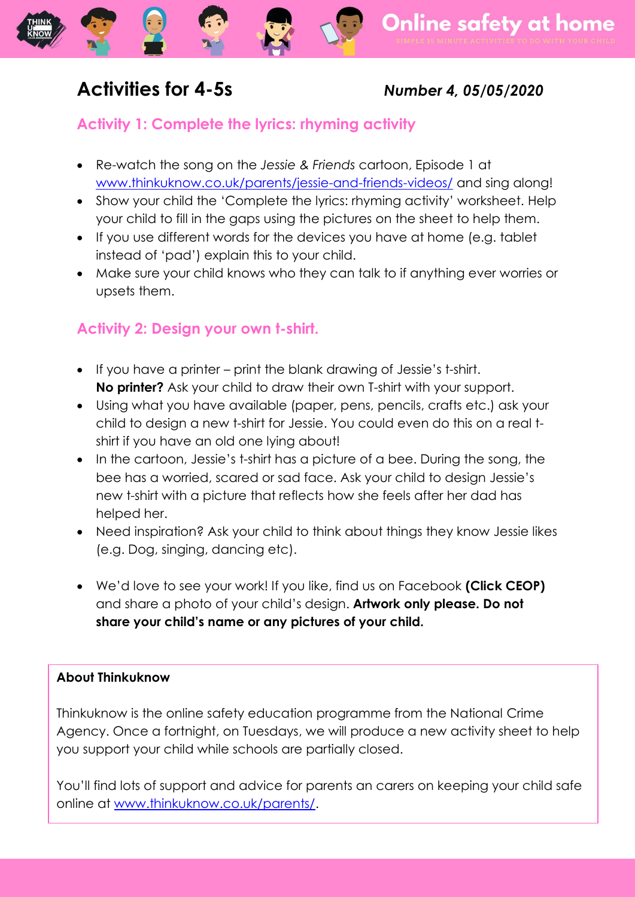# **Activities for 4-5s** *Number 4, 05/05/2020*

## **Activity 1: Complete the lyrics: rhyming activity**

- Re-watch the song on the *Jessie & Friends* cartoon, Episode 1 at [www.thinkuknow.co.uk/parents/jessie-and-friends-videos/](http://www.thinkuknow.co.uk/parents/jessie-and-friends-videos/) and sing along!
- Show your child the 'Complete the lyrics: rhyming activity' worksheet. Help your child to fill in the gaps using the pictures on the sheet to help them.
- If you use different words for the devices you have at home (e.g. tablet instead of 'pad') explain this to your child.
- Make sure your child knows who they can talk to if anything ever worries or upsets them.

## **Activity 2: Design your own t-shirt.**

- If you have a printer print the blank drawing of Jessie's t-shirt. **No printer?** Ask your child to draw their own T-shirt with your support.
- Using what you have available (paper, pens, pencils, crafts etc.) ask your child to design a new t-shirt for Jessie. You could even do this on a real tshirt if you have an old one lying about!
- In the cartoon, Jessie's t-shirt has a picture of a bee. During the song, the bee has a worried, scared or sad face. Ask your child to design Jessie's new t-shirt with a picture that reflects how she feels after her dad has helped her.
- Need inspiration? Ask your child to think about things they know Jessie likes (e.g. Dog, singing, dancing etc).
- We'd love to see your work! If you like, find us on Facebook **(Click CEOP)**  and share a photo of your child's design. **Artwork only please. Do not share your child's name or any pictures of your child.**

### **About Thinkuknow**

Thinkuknow is the online safety education programme from the National Crime Agency. Once a fortnight, on Tuesdays, we will produce a new activity sheet to help you support your child while schools are partially closed.

You'll find lots of support and advice for parents an carers on keeping your child safe online at [www.thinkuknow.co.uk/parents/.](http://www.thinkuknow.co.uk/parents/)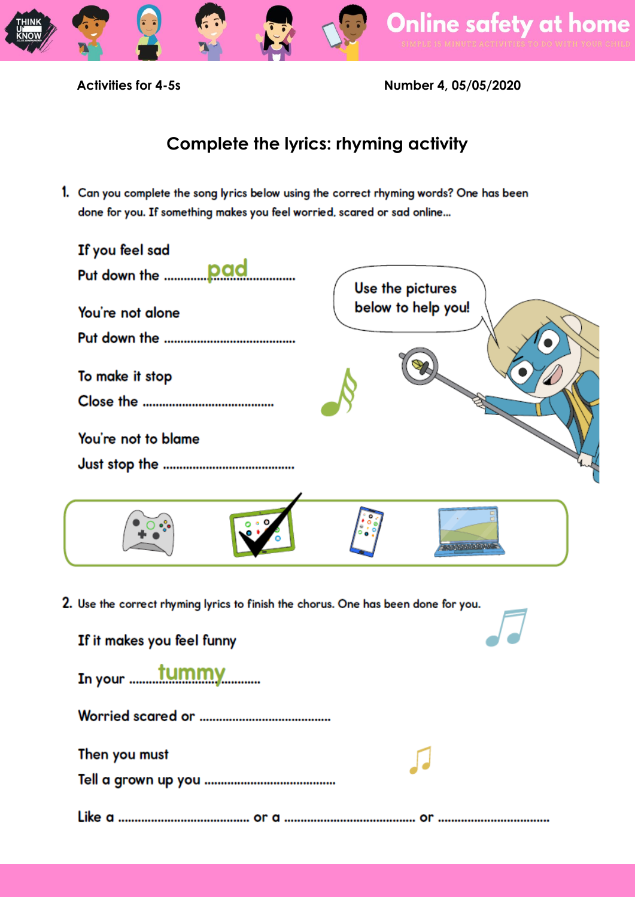

**Activities for 4-5s Number 4, 05/05/2020**

# **Complete the lyrics: rhyming activity**

1. Can you complete the song lyrics below using the correct rhyming words? One has been done for you. If something makes you feel worried, scared or sad online...

| If you feel sad                                                                    |                    |
|------------------------------------------------------------------------------------|--------------------|
|                                                                                    | Use the pictures   |
| You're not alone                                                                   | below to help you! |
|                                                                                    |                    |
| To make it stop                                                                    |                    |
| You're not to blame                                                                |                    |
|                                                                                    |                    |
|                                                                                    |                    |
|                                                                                    |                    |
| 2. Use the correct rhyming lyrics to finish the chorus. One has been done for you. |                    |

| If it makes you feel funny |  |
|----------------------------|--|
|                            |  |
|                            |  |
| Then you must              |  |
|                            |  |